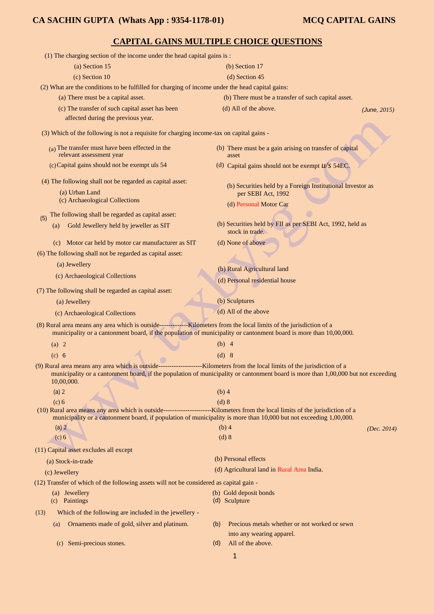# **CAPITAL GAINS MULTIPLE CHOICE QUESTIONS**

| (1) The charging section of the income under the head capital gains is:                                                                         |                                                                                   |              |
|-------------------------------------------------------------------------------------------------------------------------------------------------|-----------------------------------------------------------------------------------|--------------|
| (a) Section 15                                                                                                                                  | (b) Section 17                                                                    |              |
| (c) Section 10                                                                                                                                  | (d) Section 45                                                                    |              |
| (2) What are the conditions to be fulfilled for charging of income under the head capital gains:                                                |                                                                                   |              |
| (a) There must be a capital asset.                                                                                                              | (b) There must be a transfer of such capital asset.                               |              |
| (c) The transfer of such capital asset has been                                                                                                 | (d) All of the above.                                                             | (June, 2015) |
| affected during the previous year.                                                                                                              |                                                                                   |              |
| (3) Which of the following is not a requisite for charging income-tax on capital gains -                                                        |                                                                                   |              |
| $(a)$ The transfer must have been effected in the<br>relevant assessment year                                                                   | (b) There must be a gain arising on transfer of capital<br>asset                  |              |
| (c) Capital gains should not be exempt uls 54                                                                                                   | (d) Capital gains should not be exempt $u/s$ 54EC.                                |              |
| (4) The following shall not be regarded as capital asset:                                                                                       |                                                                                   |              |
| (a) Urban Land                                                                                                                                  | (b) Securities held by a Foreign Institutional Investor as<br>per SEBI Act, 1992  |              |
| (c) Archaeological Collections                                                                                                                  | (d) Personal Motor Car                                                            |              |
| The following shall be regarded as capital asset:                                                                                               |                                                                                   |              |
| (5)<br>Gold Jewellery held by jeweller as SIT<br>(a)                                                                                            | (b) Securities held by FII as per SEBI Act, 1992, held as<br>stock in trade.      |              |
| (c) Motor car held by motor car manufacturer as SIT                                                                                             | (d) None of above                                                                 |              |
| (6) The following shall not be regarded as capital asset:                                                                                       |                                                                                   |              |
| (a) Jewellery                                                                                                                                   | (b) Rural Agricultural land                                                       |              |
| (c) Archaeological Collections                                                                                                                  | (d) Personal residential house                                                    |              |
| (7) The following shall be regarded as capital asset:                                                                                           |                                                                                   |              |
| (a) Jewellery                                                                                                                                   | (b) Sculptures                                                                    |              |
| (c) Archaeological Collections                                                                                                                  | (d) All of the above                                                              |              |
| municipality or a cantonment board, if the population of municipality or cantonment board is more than 10,00,000.                               |                                                                                   |              |
| (a) 2                                                                                                                                           | $(b)$ 4                                                                           |              |
| (c) 6                                                                                                                                           | $(d)$ 8                                                                           |              |
| (9) Rural area means any area which is outside------------------------Kilometers from the local limits of the jurisdiction of a                 |                                                                                   |              |
| municipality or a cantonment board, if the population of municipality or cantonment board is more than 1,00,000 but not exceeding<br>10,00,000. |                                                                                   |              |
| (a) 2                                                                                                                                           | $(b)$ 4                                                                           |              |
| (c) 6                                                                                                                                           | $(d)$ 8                                                                           |              |
| municipality or a cantonment board, if population of municipality is more than 10,000 but not exceeding 1,00,000.                               |                                                                                   |              |
| (a) 2                                                                                                                                           | $(b)$ 4                                                                           | (Dec. 2014)  |
| (c) 6                                                                                                                                           | (d) 8                                                                             |              |
| (11) Capital asset excludes all except                                                                                                          |                                                                                   |              |
| (a) Stock-in-trade                                                                                                                              | (b) Personal effects                                                              |              |
| (c) Jewellery                                                                                                                                   | (d) Agricultural land in Rural Area India.                                        |              |
| (12) Transfer of which of the following assets will not be considered as capital gain -                                                         |                                                                                   |              |
| (a) Jewellery<br>(c) Paintings                                                                                                                  | (b) Gold deposit bonds<br>(d) Sculpture                                           |              |
| Which of the following are included in the jewellery -<br>(13)                                                                                  |                                                                                   |              |
| Ornaments made of gold, silver and platinum.<br>(a)                                                                                             | Precious metals whether or not worked or sewn<br>(b)<br>into any wearing apparel. |              |
| Semi-precious stones.<br>(c)                                                                                                                    | All of the above.<br>(d)                                                          |              |
|                                                                                                                                                 | 1                                                                                 |              |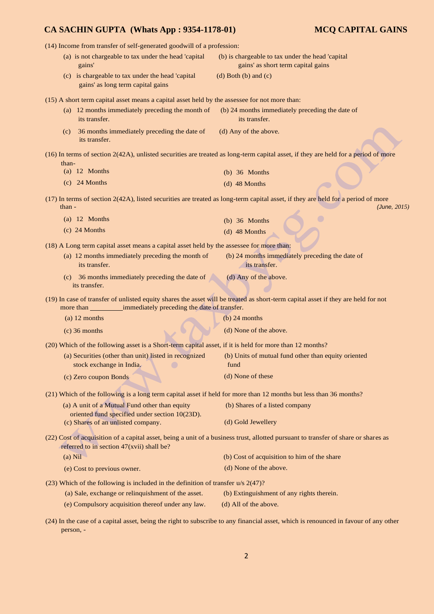| (14) Income from transfer of self-generated goodwill of a profession:                                             |                                                                                                                                                  |
|-------------------------------------------------------------------------------------------------------------------|--------------------------------------------------------------------------------------------------------------------------------------------------|
| (a) is not chargeable to tax under the head 'capital<br>gains'                                                    | (b) is chargeable to tax under the head 'capital<br>gains' as short term capital gains                                                           |
| (c) is chargeable to tax under the head 'capital<br>gains' as long term capital gains                             | $(d)$ Both $(b)$ and $(c)$                                                                                                                       |
| (15) A short term capital asset means a capital asset held by the assessee for not more than:                     |                                                                                                                                                  |
| (a) 12 months immediately preceding the month of<br>its transfer.                                                 | (b) 24 months immediately preceding the date of<br>its transfer.                                                                                 |
| 36 months immediately preceding the date of<br>(c)<br>its transfer.                                               | (d) Any of the above.                                                                                                                            |
| than-                                                                                                             | (16) In terms of section 2(42A), unlisted securities are treated as long-term capital asset, if they are held for a period of more               |
| $(a)$ 12 Months                                                                                                   | $(b)$ 36 Months                                                                                                                                  |
| $(c)$ 24 Months                                                                                                   | $(d)$ 48 Months                                                                                                                                  |
| than -                                                                                                            | (17) In terms of section 2(42A), listed securities are treated as long-term capital asset, if they are held for a period of more<br>(June, 2015) |
| $(a)$ 12 Months                                                                                                   | $(b)$ 36 Months                                                                                                                                  |
| $(c)$ 24 Months                                                                                                   | $(d)$ 48 Months                                                                                                                                  |
| (18) A Long term capital asset means a capital asset held by the assessee for more than:                          |                                                                                                                                                  |
| (a) 12 months immediately preceding the month of                                                                  | (b) 24 months immediately preceding the date of                                                                                                  |
| its transfer.                                                                                                     | its transfer.                                                                                                                                    |
| (c) 36 months immediately preceding the date of<br>its transfer.                                                  | (d) Any of the above.                                                                                                                            |
| immediately preceding the date of transfer.                                                                       | (19) In case of transfer of unlisted equity shares the asset will be treated as short-term capital asset if they are held for not                |
| $(a)$ 12 months                                                                                                   | $(b)$ 24 months                                                                                                                                  |
| $(c)$ 36 months                                                                                                   | (d) None of the above.                                                                                                                           |
| (20) Which of the following asset is a Short-term capital asset, if it is held for more than 12 months?           |                                                                                                                                                  |
| (a) Securities (other than unit) listed in recognized<br>stock exchange in India.                                 | (b) Units of mutual fund other than equity oriented<br>fund                                                                                      |
| (c) Zero coupon Bonds                                                                                             | (d) None of these                                                                                                                                |
| (21) Which of the following is a long term capital asset if held for more than 12 months but less than 36 months? |                                                                                                                                                  |
| (a) A unit of a Mutual Fund other than equity<br>oriented fund specified under section 10(23D).                   | (b) Shares of a listed company                                                                                                                   |
| (c) Shares of an unlisted company.                                                                                | (d) Gold Jewellery                                                                                                                               |
| referred to in section 47(xvii) shall be?                                                                         | (22) Cost of acquisition of a capital asset, being a unit of a business trust, allotted pursuant to transfer of share or shares as               |
| $(a)$ Nil                                                                                                         | (b) Cost of acquisition to him of the share                                                                                                      |
| (e) Cost to previous owner.                                                                                       | (d) None of the above.                                                                                                                           |
| $(23)$ Which of the following is included in the definition of transfer u/s $2(47)$ ?                             |                                                                                                                                                  |
| (a) Sale, exchange or relinquishment of the asset.                                                                | (b) Extinguishment of any rights therein.                                                                                                        |
| (e) Compulsory acquisition thereof under any law.                                                                 | (d) All of the above.                                                                                                                            |
|                                                                                                                   |                                                                                                                                                  |

(24) In the case of a capital asset, being the right to subscribe to any financial asset, which is renounced in favour of any other person, -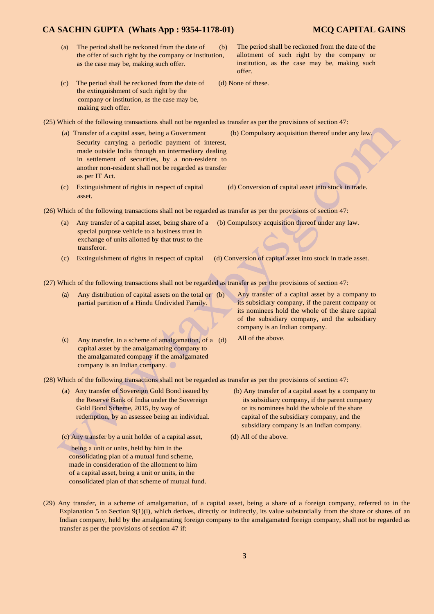- (a) The period shall be reckoned from the date of  $\qquad$  (b) the offer of such right by the company or institution, as the case may be, making such offer.
- (c) The period shall be reckoned from the date of (d) None of these. the extinguishment of such right by the company or institution, as the case may be, making such offer.
- (25) Which of the following transactions shall not be regarded as transfer as per the provisions of section 47:
	- (a) Transfer of a capital asset, being a Government (b) Compulsory acquisition thereof under any law. Security carrying a periodic payment of interest, made outside India through an intermediary dealing in settlement of securities, by a non-resident to another non-resident shall not be regarded as transfer as per IT Act.
	- (c) Extinguishment of rights in respect of capital (d) Conversion of capital asset into stock in trade. asset.

(26) Which of the following transactions shall not be regarded as transfer as per the provisions of section 47:

- (a) Any transfer of a capital asset, being share of a (b) Compulsory acquisition thereof under any law. special purpose vehicle to a business trust in exchange of units allotted by that trust to the transferor.
- (c) Extinguishment of rights in respect of capital (d) Conversion of capital asset into stock in trade asset.

(27) Which of the following transactions shall not be regarded as transfer as per the provisions of section 47:

- (a) Any distribution of capital assets on the total or (b) partial partition of a Hindu Undivided Family.
- (c) Any transfer, in a scheme of amalgamation, of a (d) capital asset by the amalgamating company to the amalgamated company if the amalgamated company is an Indian company.
- Any transfer of a capital asset by a company to its subsidiary company, if the parent company or its nominees hold the whole of the share capital of the subsidiary company, and the subsidiary company is an Indian company.
- All of the above.

(28) Which of the following transactions shall not be regarded as transfer as per the provisions of section 47:

Gold Bond Scheme, 2015, by way of or its nominees hold the whole of the share redemption, by an assessee being an individual. capital of the subsidiary company, and the

(c) Any transfer by a unit holder of a capital asset, (d) All of the above.

- being a unit or units, held by him in the consolidating plan of a mutual fund scheme, made in consideration of the allotment to him of a capital asset, being a unit or units, in the consolidated plan of that scheme of mutual fund.
- (a) Any transfer of Sovereign Gold Bond issued by (b) Any transfer of a capital asset by a company to the Reserve Bank of India under the Sovereign its subsidiary company, if the parent company subsidiary company is an Indian company.
	-
- (29) Any transfer, in a scheme of amalgamation, of a capital asset, being a share of a foreign company, referred to in the Explanation 5 to Section 9(1)(i), which derives, directly or indirectly, its value substantially from the share or shares of an Indian company, held by the amalgamating foreign company to the amalgamated foreign company, shall not be regarded as transfer as per the provisions of section 47 if:

allotment of such right by the company or institution, as the case may be, making such offer.

The period shall be reckoned from the date of the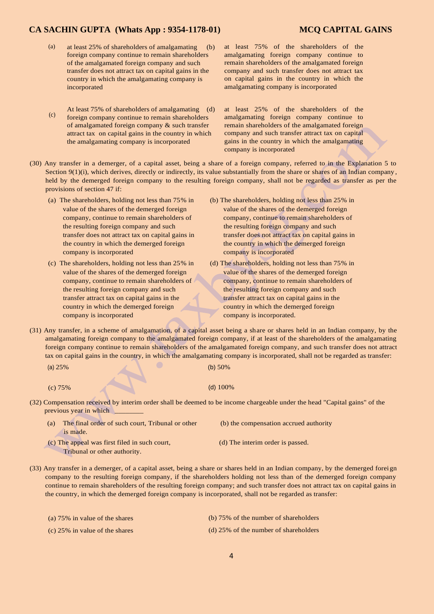- (a) at least 25% of shareholders of amalgamating (b) foreign company continue to remain shareholders of the amalgamated foreign company and such transfer does not attract tax on capital gains in the country in which the amalgamating company is incorporated
- (c) At least 75% of shareholders of amalgamating (d) foreign company continue to remain shareholders of amalgamated foreign company & such transfer attract tax on capital gains in the country in which the amalgamating company is incorporated
- at least 75% of the shareholders of the amalgamating foreign company continue to remain shareholders of the amalgamated foreign company and such transfer does not attract tax on capital gains in the country in which the amalgamating company is incorporated

at least 25% of the shareholders of the amalgamating foreign company continue to remain shareholders of the amalgamated foreign company and such transfer attract tax on capital gains in the country in which the amalgamating company is incorporated

- (30) Any transfer in a demerger, of a capital asset, being a share of a foreign company, referred to in the Explanation 5 to Section 9(1)(i), which derives, directly or indirectly, its value substantially from the share or shares of an Indian company, held by the demerged foreign company to the resulting foreign company, shall not be regarded as transfer as per the provisions of section 47 if:
	- the resulting foreign company and such the resulting foreign company and such company is incorporated company is incorporated
	- (c) The shareholders, holding not less than 25% in (d) The shareholders, holding not less than 75% in the resulting foreign company and such the resulting foreign company and such country in which the demerged foreign country in which the demerged foreign company is incorporated company is incorporated.
	- (a) The shareholders, holding not less than 75% in (b) The shareholders, holding not less than 25% in value of the shares of the demerged foreign value of the shares of the demerged foreign company, continue to remain shareholders of company, continue to remain shareholders of transfer does not attract tax on capital gains in transfer does not attract tax on capital gains in the country in which the demerged foreign the country in which the demerged foreign
		- value of the shares of the demerged foreign value of the shares of the demerged foreign company, continue to remain shareholders of company, continue to remain shareholders of transfer attract tax on capital gains in the transfer attract tax on capital gains in the
- (31) Any transfer, in a scheme of amalgamation, of a capital asset being a share or shares held in an Indian company, by the amalgamating foreign company to the amalgamated foreign company, if at least of the shareholders of the amalgamating foreign company continue to remain shareholders of the amalgamated foreign company, and such transfer does not attract tax on capital gains in the country, in which the amalgamating company is incorporated, shall not be regarded as transfer:

(a) 25% (b) 50%

(c) 75% (d) 100%

- (32) Compensation received by interim order shall be deemed to be income chargeable under the head "Capital gains" of the previous year in which \_
	- (a) The final order of such court, Tribunal or other (b) the compensation accrued authority is made.
	- (c) The appeal was first filed in such court, (d) The interim order is passed. Tribunal or other authority.
- -
- (33) Any transfer in a demerger, of a capital asset, being a share or shares held in an Indian company, by the demerged foreign company to the resulting foreign company, if the shareholders holding not less than of the demerged foreign company continue to remain shareholders of the resulting foreign company; and such transfer does not attract tax on capital gains in the country, in which the demerged foreign company is incorporated, shall not be regarded as transfer:

| (a) $75\%$ in value of the shares | (b) 75% of the number of shareholders   |
|-----------------------------------|-----------------------------------------|
| (c) $25\%$ in value of the shares | $(d)$ 25% of the number of shareholders |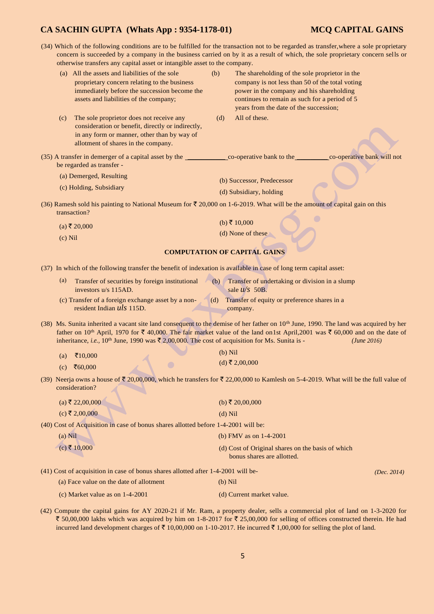(34) Which of the following conditions are to be fulfilled for the transaction not to be regarded as transfer,where a sole proprietary concern is succeeded by a company in the business carried on by it as a result of which, the sole proprietary concern sells or otherwise transfers any capital asset or intangible asset to the company.

|                   | ici mise transiers any eaprair asset or main, fore asset to the company.                                                                                                                                                                                          |     |                                                                                                   |                            |
|-------------------|-------------------------------------------------------------------------------------------------------------------------------------------------------------------------------------------------------------------------------------------------------------------|-----|---------------------------------------------------------------------------------------------------|----------------------------|
|                   | (a) All the assets and liabilities of the sole<br>proprietary concern relating to the business                                                                                                                                                                    | (b) | The shareholding of the sole proprietor in the<br>company is not less than 50 of the total voting |                            |
|                   | immediately before the succession become the                                                                                                                                                                                                                      |     | power in the company and his shareholding                                                         |                            |
|                   | assets and liabilities of the company;                                                                                                                                                                                                                            |     | continues to remain as such for a period of 5                                                     |                            |
|                   |                                                                                                                                                                                                                                                                   |     | years from the date of the succession;                                                            |                            |
| (c)               | The sole proprietor does not receive any                                                                                                                                                                                                                          | (d) | All of these.                                                                                     |                            |
|                   | consideration or benefit, directly or indirectly,                                                                                                                                                                                                                 |     |                                                                                                   |                            |
|                   | in any form or manner, other than by way of<br>allotment of shares in the company.                                                                                                                                                                                |     |                                                                                                   |                            |
|                   |                                                                                                                                                                                                                                                                   |     |                                                                                                   |                            |
|                   | be regarded as transfer -                                                                                                                                                                                                                                         |     |                                                                                                   | co-operative bank will not |
|                   | (a) Demerged, Resulting                                                                                                                                                                                                                                           |     | (b) Successor, Predecessor                                                                        |                            |
|                   | (c) Holding, Subsidiary                                                                                                                                                                                                                                           |     | (d) Subsidiary, holding                                                                           |                            |
|                   |                                                                                                                                                                                                                                                                   |     |                                                                                                   |                            |
|                   | (36) Ramesh sold his painting to National Museum for $\bar{\tau}$ 20,000 on 1-6-2019. What will be the amount of capital gain on this<br>transaction?                                                                                                             |     |                                                                                                   |                            |
|                   | $(a)$ ₹ 20,000                                                                                                                                                                                                                                                    |     | (b) ₹ 10,000                                                                                      |                            |
| $(c)$ Nil         |                                                                                                                                                                                                                                                                   |     | (d) None of these                                                                                 |                            |
|                   |                                                                                                                                                                                                                                                                   |     | <b>COMPUTATION OF CAPITAL GAINS</b>                                                               |                            |
|                   |                                                                                                                                                                                                                                                                   |     |                                                                                                   |                            |
|                   | (37) In which of the following transfer the benefit of indexation is available in case of long term capital asset:                                                                                                                                                |     |                                                                                                   |                            |
| $\left( a\right)$ | Transfer of securities by foreign institutional<br>investors u/s 115AD.                                                                                                                                                                                           | (b) | Transfer of undertaking or division in a slump<br>sale $u/s$ 50B.                                 |                            |
|                   | (c) Transfer of a foreign exchange asset by a non-<br>resident Indian uls 115D.                                                                                                                                                                                   | (d) | Transfer of equity or preference shares in a<br>company.                                          |                            |
|                   | (38) Ms. Sunita inherited a vacant site land consequent to the demise of her father on 10 <sup>th</sup> June, 1990. The land was acquired by her                                                                                                                  |     |                                                                                                   |                            |
|                   | father on 10 <sup>th</sup> April, 1970 for ₹ 40,000. The fair market value of the land on 1st April, 2001 was ₹ 60,000 and on the date of<br>inheritance, i.e., 10 <sup>th</sup> June, 1990 was $\bar{\xi}$ 2,00,000. The cost of acquisition for Ms. Sunita is - |     |                                                                                                   | (June 2016)                |
|                   |                                                                                                                                                                                                                                                                   |     | $(b)$ Nil                                                                                         |                            |
| (a)               | ₹ $10,000$                                                                                                                                                                                                                                                        |     | $(d)$ ₹ 2,00,000                                                                                  |                            |
| (c)               | ₹60,000                                                                                                                                                                                                                                                           |     |                                                                                                   |                            |
|                   | (39) Neerja owns a house of $\bar{\tau}$ 20,00,000, which he transfers for $\bar{\tau}$ 22,00,000 to Kamlesh on 5-4-2019. What will be the full value of<br>consideration?                                                                                        |     |                                                                                                   |                            |
|                   | $(a)$ ₹ 22,00,000                                                                                                                                                                                                                                                 |     | (b) ₹ 20,00,000                                                                                   |                            |
|                   | $(c)$ ₹ 2,00,000                                                                                                                                                                                                                                                  |     | $(d)$ Nil                                                                                         |                            |
|                   | (40) Cost of Acquisition in case of bonus shares allotted before 1-4-2001 will be:                                                                                                                                                                                |     |                                                                                                   |                            |
| $(a)$ Nil         |                                                                                                                                                                                                                                                                   |     | (b) FMV as on $1-4-2001$                                                                          |                            |
|                   |                                                                                                                                                                                                                                                                   |     |                                                                                                   |                            |
|                   | $(c)$ ₹ 10,000                                                                                                                                                                                                                                                    |     | (d) Cost of Original shares on the basis of which<br>bonus shares are allotted.                   |                            |
|                   | (41) Cost of acquisition in case of bonus shares allotted after 1-4-2001 will be-                                                                                                                                                                                 |     |                                                                                                   | (Dec. 2014)                |
|                   | (a) Face value on the date of allotment                                                                                                                                                                                                                           |     | $(b)$ Nil                                                                                         |                            |
|                   | (c) Market value as on $1-4-2001$                                                                                                                                                                                                                                 |     | (d) Current market value.                                                                         |                            |
|                   |                                                                                                                                                                                                                                                                   |     |                                                                                                   |                            |

(42) Compute the capital gains for AY 2020-21 if Mr. Ram, a property dealer, sells a commercial plot of land on 1-3-2020 for ₹ 50,00,000 lakhs which was acquired by him on 1-8-2017 for ₹ 25,00,000 for selling of offices constructed therein. He had incurred land development charges of  $\bar{\tau}$  10,00,000 on 1-10-2017. He incurred  $\bar{\tau}$  1,00,000 for selling the plot of land.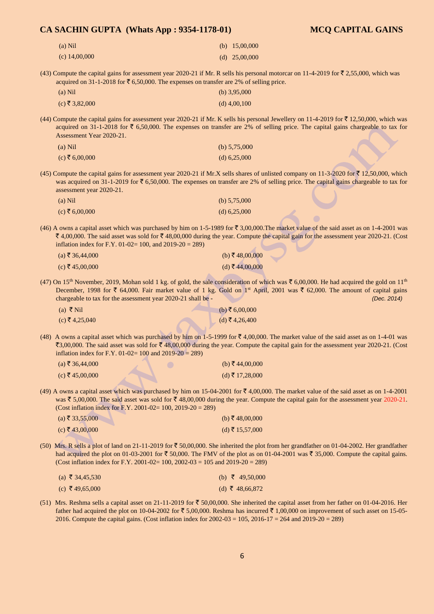## **CA SACHIN GUPTA (Whats App : 9354-1178-01) MCQ CAPITAL GAINS**  (a) Nil (c) 14,00,000 (b) 15,00,000 (d) 25,00,000 (43) Compute the capital gains for assessment year 2020-21 if Mr. R sells his personal motorcar on 11-4-2019 for  $\bar{\mathfrak{r}}$  2,55,000, which was acquired on 31-1-2018 for  $\bar{\mathfrak{c}}$  6,50,000. The expenses on transfer are 2% of selling price. (a) Nil (b) 3,95,000  $(c)$   $\overline{\xi}$  3,82,000 (d) 4,00,100 (44) Compute the capital gains for assessment year 2020-21 if Mr. K sells his personal Jewellery on 11-4-2019 for  $\bar{\tau}$  12,50,000, which was acquired on 31-1-2018 for  $\bar{\tau}$  6,50,000. The expenses on transfer are 2% of selling price. The capital gains chargeable to tax for Assessment Year 2020-21. (a) Nil (b) 5,75,000  $(c) \bar{z} 6,00,000$  (d) 6,25,000 (45) Compute the capital gains for assessment year 2020-21 if Mr.X sells shares of unlisted company on 11-3-2020 for  $\bar{\tau}$  12,50,000, which was acquired on 31-1-2019 for  $\bar{\tau}$  6,50,000. The expenses on transfer are 2% of selling price. The capital gains chargeable to tax for assessment year 2020-21. (a) Nil (b)  $5,75,000$  $(c) \bar{z} 6,00,000$  (d) 6,25,000 (46) A owns a capital asset which was purchased by him on 1-5-1989 for  $\bar{\tau}$  3,00,000. The market value of the said asset as on 1-4-2001 was  $\bar{\xi}$  4,00,000. The said asset was sold for  $\bar{\xi}$  48,00,000 during the year. Compute the capital gain for the assessment year 2020-21. (Cost inflation index for F.Y. 01-02= 100, and 2019-20 = 289)  $(a)$  ₹ 36,44,000 (b) ₹ 48,00,000 (b) ₹ 48,00,000 (c) ₹ 45,00,000 (d)  $\bar{x}$  44,00,000 (d)  $\bar{x}$  44,00,000 (47) On 15<sup>th</sup> November, 2019, Mohan sold 1 kg. of gold, the sale consideration of which was  $\bar{\tau}$  6,00,000. He had acquired the gold on 11<sup>th</sup> December, 1998 for  $\bar{\tau}$  64,000. Fair market value of 1 kg. Gold on 1<sup>st</sup> April, 2001 was  $\bar{\tau}$  62,000. The amount of capital gains chargeable to tax for the assessment year 2020-21 shall be - *(Dec. 2014)*  (a) ₹ Nil  $(c)$  ₹ 4,25,040  $(b)$ ₹ 6,00,000  $(d)$ ₹4,26,400 (48) A owns a capital asset which was purchased by him on 1-5-1999 for  $\bar{\tau}$  4,00,000. The market value of the said asset as on 1-4-01 was ₹3,00,000. The said asset was sold for ₹48,00,000 during the year. Compute the capital gain for the assessment year 2020-21. (Cost inflation index for F.Y.  $01-02=100$  and  $2019-20=289$ ) (a)  $\bar{\xi}$  36,44,000 (b)  $\bar{\xi}$  44,00,000  $(c)$  ₹ 45,00,000 (d) ₹ 17,28,000 (49) A owns a capital asset which was purchased by him on 15-04-2001 for  $\bar{\mathfrak{c}}$  4,00,000. The market value of the said asset as on 1-4-2001 was  $\bar{\xi}$  5,00,000. The said asset was sold for  $\bar{\xi}$  48,00,000 during the year. Compute the capital gain for the assessment year 2020-21. (Cost inflation index for F.Y. 2001-02= 100, 2019-20 = 289) (a)  $\bar{\tau}$  33,55,000 (b)  $\bar{\tau}$  48,00,000  $(c)$  ₹ 43,00,000 (d) ₹ 15,57,000 (50) Mrs. R sells a plot of land on 21-11-2019 for  $\bar{\tau}$  50,00,000. She inherited the plot from her grandfather on 01-04-2002. Her grandfather had acquired the plot on 01-03-2001 for  $\bar{\xi}$  50,000. The FMV of the plot as on 01-04-2001 was  $\bar{\xi}$  35,000. Compute the capital gains. (Cost inflation index for F.Y. 2001-02=  $100$ , 2002-03 = 105 and 2019-20 = 289)  $(a)$  ₹ 34,45,530 (c) ₹ 49,65,000 (b)  $\overline{5}$  49,50,000 (d) ₹ 48,66,872

(51) Mrs. Reshma sells a capital asset on 21-11-2019 for  $\bar{\tau}$  50,00,000. She inherited the capital asset from her father on 01-04-2016. Her father had acquired the plot on 10-04-2002 for  $\bar{\tau}$  5,00,000. Reshma has incurred  $\bar{\tau}$  1,00,000 on improvement of such asset on 15-05-2016. Compute the capital gains. (Cost inflation index for 2002-03 = 105, 2016-17 = 264 and 2019-20 = 289)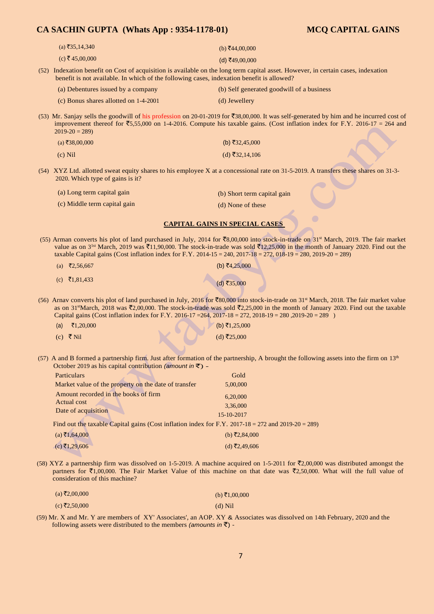| $(a)$ ₹35,14,340                                                                                                | (b) ₹44,00,000                                                                                                                                                                                                                                                                                                             |
|-----------------------------------------------------------------------------------------------------------------|----------------------------------------------------------------------------------------------------------------------------------------------------------------------------------------------------------------------------------------------------------------------------------------------------------------------------|
| $(c)$ ₹45,00,000                                                                                                | $(d)$ ₹49,00,000                                                                                                                                                                                                                                                                                                           |
| benefit is not available. In which of the following cases, indexation benefit is allowed?                       | (52) Indexation benefit on Cost of acquisition is available on the long term capital asset. However, in certain cases, indexation                                                                                                                                                                                          |
| (a) Debentures issued by a company                                                                              | (b) Self generated goodwill of a business                                                                                                                                                                                                                                                                                  |
| (c) Bonus shares allotted on 1-4-2001                                                                           | (d) Jewellery                                                                                                                                                                                                                                                                                                              |
| $2019 - 20 = 289$                                                                                               | (53) Mr. Sanjay sells the goodwill of his profession on 20-01-2019 for ₹38,00,000. It was self-generated by him and he incurred cost of<br>improvement thereof for $\overline{5}5,55,000$ on 1-4-2016. Compute his taxable gains. (Cost inflation index for F.Y. 2016-17 = 264 and                                         |
| $(a)$ ₹38,00,000                                                                                                | (b) ₹32,45,000                                                                                                                                                                                                                                                                                                             |
| $(c)$ Nil                                                                                                       | (d) ₹32,14,106                                                                                                                                                                                                                                                                                                             |
| 2020. Which type of gains is it?                                                                                | (54) XYZ Ltd. allotted sweat equity shares to his employee X at a concessional rate on 31-5-2019. A transfers these shares on 31-3-                                                                                                                                                                                        |
| (a) Long term capital gain                                                                                      | (b) Short term capital gain                                                                                                                                                                                                                                                                                                |
| (c) Middle term capital gain                                                                                    | (d) None of these                                                                                                                                                                                                                                                                                                          |
|                                                                                                                 | <b>CAPITAL GAINS IN SPECIAL CASES</b>                                                                                                                                                                                                                                                                                      |
| taxable Capital gains (Cost inflation index for F.Y. 2014-15 = 240, 2017-18 = 272, 018-19 = 280, 2019-20 = 289) | (55) Arman converts his plot of land purchased in July, 2014 for ₹8,00,000 into stock-in-trade on 31 <sup>st</sup> March, 2019. The fair market<br>value as on 3 <sup>1st</sup> March, 2019 was ₹11,90,000. The stock-in-trade was sold ₹12,25,000 in the month of January 2020. Find out the                              |
| (a) ₹2,56,667                                                                                                   | (b) ₹4,25,000                                                                                                                                                                                                                                                                                                              |
| (c) $\bar{z}$ 1,81,433                                                                                          | (d) ₹35,000                                                                                                                                                                                                                                                                                                                |
| Capital gains (Cost inflation index for F.Y. 2016-17 = 264, 2017-18 = 272, 2018-19 = 280, 2019-20 = 289 )       | (56) Arnav converts his plot of land purchased in July, 2016 for ₹80,000 into stock-in-trade on 31 <sup>st</sup> March, 2018. The fair market value<br>as on 31stMarch, 2018 was $\bar{\mathcal{L}}$ 2,00,000. The stock-in-trade was sold $\bar{\mathcal{L}}$ 2,25,000 in the month of January 2020. Find out the taxable |
| ₹1,20,000<br>(a)                                                                                                | (b) ₹1,25,000                                                                                                                                                                                                                                                                                                              |
| (c) ₹ Nil                                                                                                       | (d) ₹25,000                                                                                                                                                                                                                                                                                                                |
| October 2019 as his capital contribution (amount in $\bar{\tau}$ ) -                                            | (57) A and B formed a partnership firm. Just after formation of the partnership, A brought the following assets into the firm on $13th$                                                                                                                                                                                    |
| Particulars<br>A.                                                                                               | Gold                                                                                                                                                                                                                                                                                                                       |

| Particulars                                                                                        | Gold          |
|----------------------------------------------------------------------------------------------------|---------------|
| Market value of the property on the date of transfer                                               | 5,00,000      |
| Amount recorded in the books of firm                                                               | 6,20,000      |
| Actual cost                                                                                        | 3,36,000      |
| Date of acquisition                                                                                | 15-10-2017    |
| Find out the taxable Capital gains (Cost inflation index for F.Y. 2017-18 = 272 and 2019-20 = 289) |               |
| $(a)$ ₹1,64,000                                                                                    | (b) ₹2,84,000 |
|                                                                                                    |               |

(58) XYZ a partnership firm was dissolved on 1-5-2019. A machine acquired on 1-5-2011 for  $\bar{\mathfrak{r}}2,00,000$  was distributed amongst the partners for  $\bar{\tau}1,00,000$ . The Fair Market Value of this machine on that date was  $\bar{\tau}2,50,000$ . What will the full value of consideration of this machine?

| $(a) \xi$ 2,00,000 | (b) ₹1,00,000 |  |
|--------------------|---------------|--|
| (c) ₹2,50,000      | $(d)$ Nil     |  |

 $(c)$  ₹1,29,606 (d)  $\overline{z}$ 2,49,606

(59) Mr. X and Mr. Y are members of XY' Associates', an AOP. XY & Associates was dissolved on 14th February, 2020 and the following assets were distributed to the members *(amounts in* $\bar{z}$ ) -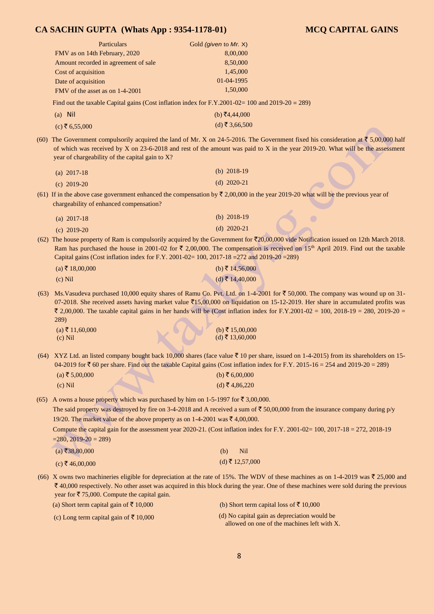| <b>Particulars</b>                   | Gold (given to Mr. X) |
|--------------------------------------|-----------------------|
| FMV as on 14th February, 2020        | 8,00,000              |
| Amount recorded in agreement of sale | 8,50,000              |
| Cost of acquisition                  | 1,45,000              |
| Date of acquisition                  | 01-04-1995            |
| FMV of the asset as on 1-4-2001      | 1,50,000              |

Find out the taxable Capital gains (Cost inflation index for F.Y.2001-02= 100 and 2019-20 = 289)

| $(a)$ Nil      | (b) ₹4,44,000  |
|----------------|----------------|
| (c) ₹ 6,55,000 | (d) ₹ 3,66,500 |

(60) The Government compulsorily acquired the land of Mr. X on 24-5-2016. The Government fixed his consideration at  $\bar{z}$  5,00,000 half of which was received by X on 23-6-2018 and rest of the amount was paid to X in the year 2019-20. What will be the assessment year of chargeability of the capital gain to X?

| (a) $2017 - 18$ | (b) $2018-19$ |
|-----------------|---------------|
| (c) $2019-20$   | (d) $2020-21$ |

(61) If in the above case government enhanced the compensation by  $\overline{z}$  2,00,000 in the year 2019-20 what will be the previous year of chargeability of enhanced compensation?

| (a) $2017 - 18$ | (b) $2018-19$  |
|-----------------|----------------|
| (c) $2019-20$   | (d) $2020-21'$ |

(62) The house property of Ram is compulsorily acquired by the Government for  $\overline{(}20,00,000$  vide Notification issued on 12th March 2018. Ram has purchased the house in 2001-02 for  $\bar{\tau}$  2,00,000. The compensation is received on 15<sup>th</sup> April 2019. Find out the taxable Capital gains (Cost inflation index for F.Y. 2001-02= 100, 2017-18 =272 and 2019-20 =289)

| $(a)$ ₹ 18,00,000 | (b) ₹ 14,56,000 |
|-------------------|-----------------|
| $(c)$ Nil         | (d) ₹ 14,40,000 |

(63) Ms. Vasudeva purchased 10,000 equity shares of Ramu Co. Pvt. Ltd. on  $1-4$ -2001 for  $\bar{\tau}$  50,000. The company was wound up on 31-07-2018. She received assets having market value  $\bar{2}15,00,000$  on liquidation on 15-12-2019. Her share in accumulated profits was ₹ 2,00,000. The taxable capital gains in her hands will be (Cost inflation index for F.Y.2001-02 = 100, 2018-19 = 280, 2019-20 = 289)

(a)  $\bar{\tau}$  11,60,000 (b)  $\bar{\tau}$  15,00,000 (c) Nil (d)  $\bar{\tau}$  13,60,000

(64) XYZ Ltd. an listed company bought back 10,000 shares (face value  $\bar{\tau}$  10 per share, issued on 1-4-2015) from its shareholders on 15-04-2019 for  $\bar{\tau}$  60 per share. Find out the taxable Capital gains (Cost inflation index for F.Y. 2015-16 = 254 and 2019-20 = 289)

| $(a)$ ₹ 5,00,000 | (b) ₹ 6,00,000 |
|------------------|----------------|
| $(c)$ Nil        | (d) ₹4,86,220  |

(65) A owns a house property which was purchased by him on 1-5-1997 for  $\bar{\tau}$  3,00,000.

The said property was destroyed by fire on 3-4-2018 and A received a sum of  $\overline{5}$  50,00,000 from the insurance company during p/y 19/20. The market value of the above property as on 1-4-2001 was  $\bar{\tau}$  4,00,000.

Compute the capital gain for the assessment year 2020-21. (Cost inflation index for F.Y. 2001-02= 100, 2017-18 = 272, 2018-19  $=280, 2019-20 = 289$ 

| $(a)$ ₹38,80,000 | $(b)$ Nil       |
|------------------|-----------------|
| (c) ₹ 46,00,000  | (d) ₹ 12,57,000 |

(66) X owns two machineries eligible for depreciation at the rate of 15%. The WDV of these machines as on 1-4-2019 was  $\bar{\tau}$  25,000 and  $\bar{\xi}$  40,000 respectively. No other asset was acquired in this block during the year. One of these machines were sold during the previous year for  $\overline{\xi}$  75,000. Compute the capital gain.

(a) Short term capital gain of  $\bar{\tau}$  10,000 (b) Short term capital loss of  $\bar{\tau}$  10,000

(c) Long term capital gain of  $\bar{\tau}$  10,000 (d) No capital gain as depreciation would be allowed on one of the machines left with X.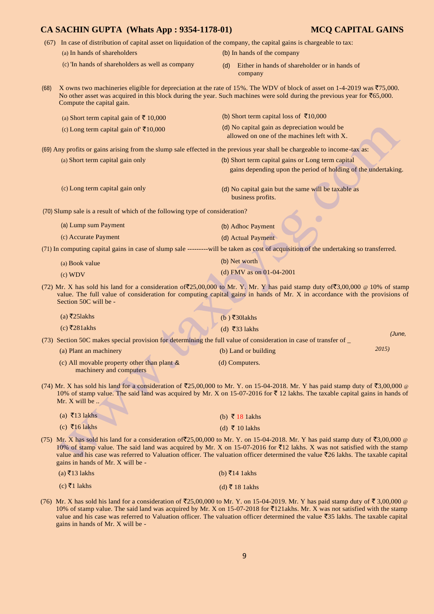- (67) In case of distribution of capital asset on liquidation of the company, the capital gains is chargeable to tax:
- (a) In hands of shareholders (b) In hands of the company
	-
- 
- (c) 'In hands of shareholders as well as company (d) Either in hands of shareholder or in hands of company

(68) X owns two machineries eligible for depreciation at the rate of 15%. The WDV of block of asset on 1-4-2019 was  $\overline{575,000}$ . No other asset was acquired in this block during the year. Such machines were sold during the previous year for  $\bar{c}$ 65,000. Compute the capital gain.

| (a) Short term capital gain of ₹ 10,000                                      | (b) Short term capital loss of ₹10,000                                                                                                 |
|------------------------------------------------------------------------------|----------------------------------------------------------------------------------------------------------------------------------------|
| (c) Long term capital gain of $\bar{\tau}10,000$                             | (d) No capital gain as depreciation would be<br>allowed on one of the machines left with X.                                            |
|                                                                              | (69) Any profits or gains arising from the slump sale effected in the previous year shall be chargeable to income-tax as:              |
| (a) Short term capital gain only                                             | (b) Short term capital gains or Long term capital                                                                                      |
|                                                                              | gains depending upon the period of holding of the undertaking.                                                                         |
| (c) Long term capital gain only                                              | (d) No capital gain but the same will be taxable as<br>business profits.                                                               |
| (70) Slump sale is a result of which of the following type of consideration? |                                                                                                                                        |
| (a) Lump sum Payment                                                         | (b) Adhoc Payment                                                                                                                      |
| (c) Accurate Payment                                                         | (d) Actual Payment                                                                                                                     |
|                                                                              | (71) In computing capital gains in case of slump sale ---------will be taken as cost of acquisition of the undertaking so transferred. |
| (a) Book value                                                               | (b) Net worth                                                                                                                          |

- (c) WDV (d) FMV as on 01-04-2001
- (72) Mr. X has sold his land for a consideration of  $\mathfrak{F}25,00,000$  to Mr. Y. Mr. Y has paid stamp duty of  $\mathfrak{F}3,00,000 \text{ } \text{ } @$  10% of stamp value. The full value of consideration for computing capital gains in hands of Mr. X in accordance with the provisions of Section 50C will be -

| $(a)$ ₹251 akhs                                                        | (b) ₹30 lakhs                                                                                                   |        |
|------------------------------------------------------------------------|-----------------------------------------------------------------------------------------------------------------|--------|
| (c) $\overline{z}$ 281akhs                                             | (d) ₹33 lakhs                                                                                                   | (June, |
|                                                                        | (73) Section 50C makes special provision for determining the full value of consideration in case of transfer of |        |
| (a) Plant an machinery                                                 | (b) Land or building                                                                                            | 2015)  |
| (c) All movable property other than plant &<br>machinery and computers | (d) Computers.                                                                                                  |        |

(74) Mr. X has sold his land for a consideration of  $\overline{2}25,00,000$  to Mr. Y. on 15-04-2018. Mr. Y has paid stamp duty of  $\overline{3}3,00,000$  @ 10% of stamp value. The said land was acquired by Mr. X on 15-07-2016 for  $\bar{\tau}$  12 lakhs. The taxable capital gains in hands of Mr. X will be ...

| (a) $\bar{\tau}$ 13 lakhs | (b) $\bar{\tau}$ 18 1 akhs |
|---------------------------|----------------------------|
| (c) ₹16 lakhs             | (d) ₹ 10 lakhs             |

(75) Mr. X has sold his land for a consideration of  $\overline{2}25,00,000$  to Mr. Y. on 15-04-2018. Mr. Y has paid stamp duty of  $\overline{3},00,000$  @ 10% of stamp value. The said land was acquired by Mr. X on 15-07-2016 for  $\overline{5}12$  lakhs. X was not satisfied with the stamp value and his case was referred to Valuation officer. The valuation officer determined the value  $\overline{z}$  lakhs. The taxable capital gains in hands of Mr. X will be -

| $(a)$ ₹13 lakhs | (b) ₹14 1 akhs  |
|-----------------|-----------------|
| (c) ₹1 lakhs    | (d) ₹ 18 1 akhs |

(76) Mr. X has sold his land for a consideration of  $\overline{2}25,00,000$  to Mr. Y. on 15-04-2019. Mr. Y has paid stamp duty of  $\overline{5}3,00,000$  @ 10% of stamp value. The said land was acquired by Mr. X on 15-07-2018 for  $\text{\textoverline{5}}121$ akhs. Mr. X was not satisfied with the stamp value and his case was referred to Valuation officer. The valuation officer determined the value  $\overline{535}$  lakhs. The taxable capital gains in hands of Mr. X will be -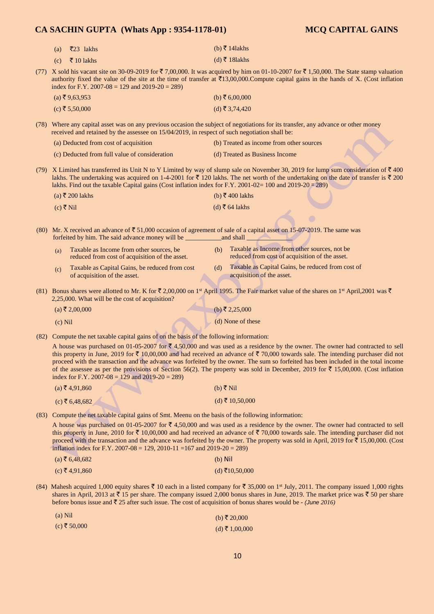| (a) ₹23 lakhs  | (b) ₹ 14 lakhs |
|----------------|----------------|
| (c) ₹ 10 lakhs | (d) ₹ 181akhs  |

(77) X sold his vacant site on 30-09-2019 for  $\bar{\tau}$  7,00,000. It was acquired by him on 01-10-2007 for  $\bar{\tau}$  1,50,000. The State stamp valuation authority fixed the value of the site at the time of transfer at  $\bar{\tau}13,00,000$ .Compute capital gains in the hands of X. (Cost inflation index for F.Y. 2007-08 = 129 and 2019-20 = 289)

| $(a)$ ₹9,63,953 | (b) ₹ 6,00,000 |
|-----------------|----------------|
| (c) ₹ 5,50,000  | (d) ₹ 3,74,420 |

(78) Where any capital asset was on any previous occasion the subject of negotiations for its transfer, any advance or other money received and retained by the assessee on 15/04/2019, in respect of such negotiation shall be:

| (a) Deducted from cost of acquisition         | (b) Treated as income from other sources |
|-----------------------------------------------|------------------------------------------|
| (c) Deducted from full value of consideration | (d) Treated as Business Income           |

(79) X Limited has transferred its Unit N to Y Limited by way of slump sale on November 30, 2019 for lump sum consideration of  $\bar{\tau}$  400 lakhs. The undertaking was acquired on 1-4-2001 for  $\bar{\tau}$  120 lakhs. The net worth of the undertaking on the date of transfer is  $\bar{\tau}$  200 lakhs. Find out the taxable Capital gains (Cost inflation index for F.Y. 2001-02= 100 and 2019-20 = 289)

| (a) ₹ 200 lakhs | (b) ₹400 lakhs |  |
|-----------------|----------------|--|
| (c) ₹ Nil       | (d) ₹ 64 lakhs |  |

(80) Mr. X received an advance of  $\bar{\xi}$  51,000 occasion of agreement of sale of a capital asset on 15-07-2019. The same was forfeited by him. The said advance money will be \_\_\_\_\_\_\_\_\_\_\_and shall \_\_\_\_\_\_\_\_\_\_\_\_\_\_

| (a) | Taxable as Income from other sources, be                                       | (b) | Taxable as Income from other sources, not be                                   |
|-----|--------------------------------------------------------------------------------|-----|--------------------------------------------------------------------------------|
|     | reduced from cost of acquisition of the asset.                                 |     | reduced from cost of acquisition of the asset.                                 |
| (c) | Taxable as Capital Gains, be reduced from cost<br>of acquisition of the asset. |     | Taxable as Capital Gains, be reduced from cost of<br>acquisition of the asset. |

(81) Bonus shares were allotted to Mr. K for  $\bar{\xi}$  2,00,000 on 1<sup>st</sup> April 1995. The Fair market value of the shares on 1<sup>st</sup> April,2001 was  $\bar{\xi}$ 2,25,000. What will be the cost of acquisition?

| (a) ₹ 2,00,000 | (b) ₹ 2,25,000    |
|----------------|-------------------|
| $(c)$ Nil      | (d) None of these |

(82) Compute the net taxable capital gains of on the basis of the following information:

A house was purchased on 01-05-2007 for  $\bar{\xi}$  4,50,000 and was used as a residence by the owner. The owner had contracted to sell this property in June, 2019 for  $\bar{\tau}$  10,00,000 and had received an advance of  $\bar{\tau}$  70,000 towards sale. The intending purchaser did not proceed with the transaction and the advance was forfeited by the owner. The sum so forfeited has been included in the total income of the assessee as per the provisions of Section 56(2). The property was sold in December, 2019 for  $\bar{\tau}$  15,00,000. (Cost inflation index for F.Y. 2007-08 = 129 and 2019-20 = 289)

| $(a)$ ₹ 4,91,860 | (b) ₹ Nil      |
|------------------|----------------|
| (c) ₹ 6,48,682   | (d) ₹ 10,50,00 |

(83) Compute the net taxable capital gains of Smt. Meenu on the basis of the following information:

A house was purchased on 01-05-2007 for  $\bar{\epsilon}$  4,50,000 and was used as a residence by the owner. The owner had contracted to sell this property in June, 2010 for  $\bar{\xi}$  10,00,000 and had received an advance of  $\bar{\xi}$  70,000 towards sale. The intending purchaser did not proceed with the transaction and the advance was forfeited by the owner. The property was sold in April, 2019 for  $\bar{\tau}$  15,00,000. (Cost inflation index for F.Y. 2007-08 = 129, 2010-11 = 167 and 2019-20 = 289)

| $(a)$ ₹ 6,48,682 | $(b)$ Nil      |
|------------------|----------------|
| (c) ₹4,91,860    | (d) ₹10,50,000 |

(84) Mahesh acquired 1,000 equity shares  $\bar{\tau}$  10 each in a listed company for  $\bar{\tau}$  35,000 on 1<sup>st</sup> July, 2011. The company issued 1,000 rights shares in April, 2013 at  $\bar{\tau}$  15 per share. The company issued 2,000 bonus shares in June, 2019. The market price was  $\bar{\tau}$  50 per share before bonus issue and ` 25 after such issue. The cost of acquisition of bonus shares would be - *(June 2016)* 

| $(a)$ Nil    | (b) ₹ 20,000   |
|--------------|----------------|
| (c) ₹ 50,000 | (d) ₹ 1,00,000 |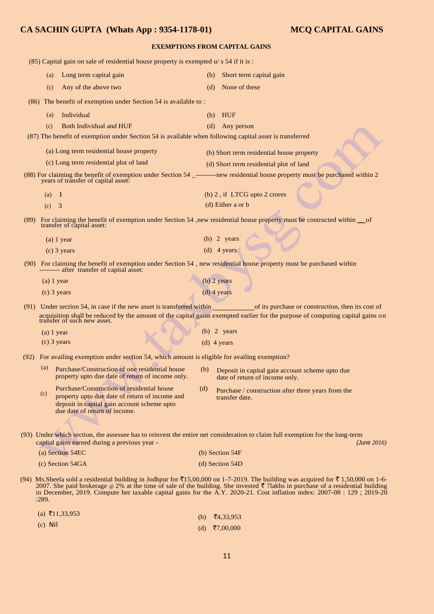| <b>EXEMPTIONS FROM CAPITAL GAINS</b> |       |                                                                                                                                                                              |     |                                                                                                                                                                                                                                                                                                                                                                                                 |
|--------------------------------------|-------|------------------------------------------------------------------------------------------------------------------------------------------------------------------------------|-----|-------------------------------------------------------------------------------------------------------------------------------------------------------------------------------------------------------------------------------------------------------------------------------------------------------------------------------------------------------------------------------------------------|
|                                      |       | $(85)$ Capital gain on sale of residential house property is exempted $u/s$ 54 if it is :                                                                                    |     |                                                                                                                                                                                                                                                                                                                                                                                                 |
|                                      | (a)   | Long term capital gain                                                                                                                                                       | (b) | Short term capital gain                                                                                                                                                                                                                                                                                                                                                                         |
|                                      | (c)   | Any of the above two                                                                                                                                                         | (d) | None of these                                                                                                                                                                                                                                                                                                                                                                                   |
|                                      |       | (86) The benefit of exemption under Section 54 is available to:                                                                                                              |     |                                                                                                                                                                                                                                                                                                                                                                                                 |
|                                      | (a)   | Individual                                                                                                                                                                   | (b) | <b>HUF</b>                                                                                                                                                                                                                                                                                                                                                                                      |
|                                      | (c)   | <b>Both Individual and HUF</b>                                                                                                                                               | (d) | Any person                                                                                                                                                                                                                                                                                                                                                                                      |
|                                      |       | (87) The benefit of exemption under Section 54 is available when following capital asset is transferred                                                                      |     |                                                                                                                                                                                                                                                                                                                                                                                                 |
|                                      |       | (a) Long term residential house property                                                                                                                                     |     | (b) Short term residential house property                                                                                                                                                                                                                                                                                                                                                       |
|                                      |       | (c) Long term residential plot of land                                                                                                                                       |     | (d) Short term residential plot of land                                                                                                                                                                                                                                                                                                                                                         |
|                                      |       | years of transfer of capital asset:                                                                                                                                          |     | (88) For claiming the benefit of exemption under Section 54 _---------new residential house property must be purchased within 2                                                                                                                                                                                                                                                                 |
|                                      | (a)   | $\blacksquare$                                                                                                                                                               |     | (b) 2, if LTCG upto 2 crores                                                                                                                                                                                                                                                                                                                                                                    |
|                                      | (c)   | $\overline{3}$                                                                                                                                                               |     | (d) Either a or b                                                                                                                                                                                                                                                                                                                                                                               |
|                                      |       | transfer of capital asset:                                                                                                                                                   |     | (89) For claiming the benefit of exemption under Section 54, new residential house property must be contructed within of                                                                                                                                                                                                                                                                        |
|                                      |       | $(a)$ 1 year                                                                                                                                                                 |     | $(b)$ 2 years                                                                                                                                                                                                                                                                                                                                                                                   |
|                                      |       | $(c)$ 3 years                                                                                                                                                                |     | (d) $4 \text{ years}$                                                                                                                                                                                                                                                                                                                                                                           |
|                                      |       | --------- after transfer of capital asset:                                                                                                                                   |     | (90) For claiming the benefit of exemption under Section 54, new residential house property must be purchased within                                                                                                                                                                                                                                                                            |
|                                      |       | $(a)$ 1 year                                                                                                                                                                 |     | $(b)$ 2 years                                                                                                                                                                                                                                                                                                                                                                                   |
|                                      |       | $(c)$ 3 years                                                                                                                                                                |     | $(d)$ 4 years                                                                                                                                                                                                                                                                                                                                                                                   |
|                                      |       |                                                                                                                                                                              |     | (91) Under section 54, in case if the new asset is transferred within of its purchase or construction, then its cost of<br>acquisition shall be reduced by the amount of the capital gains exempted earlier for the purpose of computing capital gains on transfer of such new asset.                                                                                                           |
|                                      |       | $(a)$ 1 year                                                                                                                                                                 |     | $(b)$ 2 years                                                                                                                                                                                                                                                                                                                                                                                   |
|                                      |       | $(c)$ 3 years                                                                                                                                                                |     | $(d)$ 4 years                                                                                                                                                                                                                                                                                                                                                                                   |
|                                      |       | (92) For availing exemption under section 54, which amount is eligible for availing exemption?                                                                               |     |                                                                                                                                                                                                                                                                                                                                                                                                 |
|                                      |       | (a) Purchase/Construction of one residential house (b) Deposit in capital gain account scheme upto due<br>property upto due date of return of income only.                   |     | date of return of income only.                                                                                                                                                                                                                                                                                                                                                                  |
|                                      | (c)   | Purchase/Construction of residential house<br>property upto due date of return of income and<br>deposit in capital gain account scheme upto<br>due date of return of income. | (d) | Purchase / construction after three years from the<br>transfer date.                                                                                                                                                                                                                                                                                                                            |
|                                      |       | capital gains earned during a previous year -                                                                                                                                |     | (93) Under which section, the assessee has to reinvest the entire net consideration to claim full exemption for the long-term<br>(June 2016)                                                                                                                                                                                                                                                    |
|                                      |       | (a) Section 54EC                                                                                                                                                             |     | (b) Section 54F                                                                                                                                                                                                                                                                                                                                                                                 |
|                                      |       | (c) Section 54GA                                                                                                                                                             |     | (d) Section 54D                                                                                                                                                                                                                                                                                                                                                                                 |
|                                      | :289. |                                                                                                                                                                              |     | (94) Ms.Sheela sold a residential building in Jodhpur for ₹15,00,000 on 1-7-2019. The building was acquired for ₹1,50,000 on 1-6-<br>2007. She paid brokerage @ 2% at the time of sale of the building. She invested ₹ 7lakhs in purchase of a residential building<br>in December, 2019. Compute her taxable capital gains for the A.Y. 2020-21. Cost inflation index: 2007-08 : 129 ; 2019-20 |
|                                      |       | (a) $\bar{x}$ 11,33,953                                                                                                                                                      |     | $(h)$ $\overline{f}$ 4 22 052                                                                                                                                                                                                                                                                                                                                                                   |

| (a) 11, 33, 733 | (b) $\bar{x}$ 4,33,953 |
|-----------------|------------------------|
| $(c)$ Nil       | (d) ₹7,00,000          |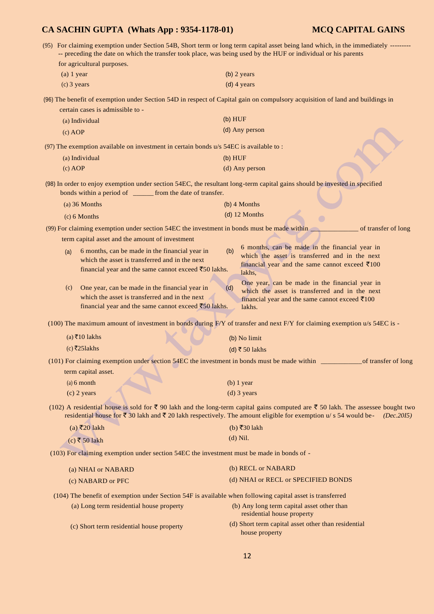(95) For claiming exemption under Section 54B, Short term or long term capital asset being land which, in the immediately --------- -- preceding the date on which the transfer took place, was being used by the HUF or individual or his parents for agricultural purposes. (a) 1 year (b) 2 years (c) and  $\frac{1}{2}$  years (c) 2 years (b) 2 years (c) 2 years (c) 2 years (c) 2 years (c) 2 years (c) 2 years (c) 2 years (c) 2 years (c) 2 years (c) 2 years (c) 2 years (c) 2 years (c) 2 years (c) 2 y (c) 3 years (d) 4 years

(96) The benefit of exemption under Section 54D in respect of Capital gain on compulsory acquisition of land and buildings in certain cases is admissible to -

| (a) Individual | (b) HUF        |
|----------------|----------------|
| (c) AOP        | (d) Any person |

(97) The exemption available on investment in certain bonds u/s 54EC is available to :

| (a) Individual | (b) HUF        |
|----------------|----------------|
| (c) AOP        | (d) Any person |

(98) In order to enjoy exemption under section 54EC, the resultant long-term capital gains should be invested in specified bonds within a period of \_\_\_\_\_\_ from the date of transfer.

| (a) $36$ Months | $(b)$ 4 Months  |
|-----------------|-----------------|
| $(c) 6$ Months  | $(d)$ 12 Months |

(99) For claiming exemption under section 54EC the investment in bonds must be made within \_\_\_\_\_\_\_\_\_\_\_\_\_\_ of transfer of long term capital asset and the amount of investment 6 months, can be made in the financial year in

| (b)<br>(a) 6 months, can be made in the financial year in<br>which the asset is transferred and in the next<br>financial year and the same cannot exceed $\bar{\epsilon}$ 50 lakhs. | o months, can be made in the mianeral year in<br>which the asset is transferred and in the next<br>financial year and the same cannot exceed $\bar{\tau}100$<br>lakhs. |
|-------------------------------------------------------------------------------------------------------------------------------------------------------------------------------------|------------------------------------------------------------------------------------------------------------------------------------------------------------------------|
| (c) One year, can be made in the financial year in<br>(d)<br>which the asset is transferred and in the next                                                                         | One year, can be made in the financial year in<br>which the asset is transferred and in the next<br>financial year and the same cannot exceed $\bar{\tau}$ 100         |

financial year and the same cannot exceed  $\bar{z}$ 50 lakhs.

(100) The maximum amount of investment in bonds during  $F/Y$  of transfer and next  $F/Y$  for claiming exemption u/s 54EC is -

lakhs.

| $(a)$ ₹10 lakhs                                                                           | (b) No limit                                                                                                                                                                                                                                                            |                     |
|-------------------------------------------------------------------------------------------|-------------------------------------------------------------------------------------------------------------------------------------------------------------------------------------------------------------------------------------------------------------------------|---------------------|
| (c) $\overline{z}$ 251akhs                                                                | (d) ₹ 50 lakhs                                                                                                                                                                                                                                                          |                     |
|                                                                                           | (101) For claiming exemption under section 54EC the investment in bonds must be made within ________                                                                                                                                                                    | of transfer of long |
| term capital asset.                                                                       |                                                                                                                                                                                                                                                                         |                     |
| $(a) 6$ month                                                                             | $(b)$ 1 year                                                                                                                                                                                                                                                            |                     |
| $(c)$ 2 years                                                                             | $(d)$ 3 years                                                                                                                                                                                                                                                           |                     |
|                                                                                           | (102) A residential house is sold for $\bar{\tau}$ 90 lakh and the long-term capital gains computed are $\bar{\tau}$ 50 lakh. The assessee bought two<br>residential house for ₹ 30 lakh and ₹ 20 lakh respectively. The amount eligible for exemption u/s 54 would be- | (Dec.2015)          |
| $(a)$ ₹20 lakh                                                                            | (b) ₹30 lakh                                                                                                                                                                                                                                                            |                     |
| $(c)$ ₹ 50 lakh                                                                           | $(d)$ Nil.                                                                                                                                                                                                                                                              |                     |
| (103) For claiming exemption under section 54EC the investment must be made in bonds of - |                                                                                                                                                                                                                                                                         |                     |
| (a) NHAI or NABARD                                                                        | (b) RECL or NABARD                                                                                                                                                                                                                                                      |                     |
| (c) NABARD or PFC                                                                         | (d) NHAI or RECL or SPECIFIED BONDS                                                                                                                                                                                                                                     |                     |
|                                                                                           | (104) The benefit of exemption under Section 54F is available when following capital asset is transferred                                                                                                                                                               |                     |
| (a) Long term residential house property                                                  | (b) Any long term capital asset other than<br>residential house property                                                                                                                                                                                                |                     |
| (c) Short term residential house property                                                 | (d) Short term capital asset other than residential<br>house property                                                                                                                                                                                                   |                     |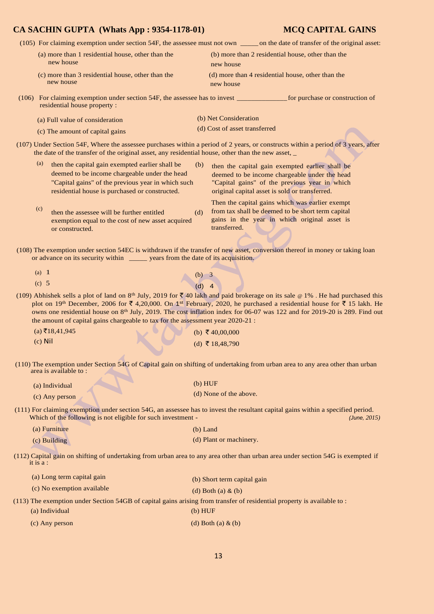(105) For claiming exemption under section 54F, the assessee must not own \_\_\_\_\_ on the date of transfer of the original asset:

- (a) more than 1 residential house, other than the (b) more than 2 residential house, other than the new house new house new house new house new house
	-

(c) more than 3 residential house, other than the (d) more than 4 residential house, other than the new house

(106) For claiming exemption under section 54F, the assessee has to invest \_\_\_\_\_\_\_\_\_\_\_\_\_\_ for purchase or construction of residential house property :

| (a) Full value of consideration | (b) Net Consideration         |
|---------------------------------|-------------------------------|
| (c) The amount of capital gains | (d) Cost of asset transferred |

(107) Under Section 54F, Where the assessee purchases within a period of 2 years, or constructs within a period of 3 years, after the date of the transfer of the original asset, any residential house, other than the new asset, \_

| (a) | then the capital gain exempted earlier shall be<br>(b)<br>deemed to be income chargeable under the head<br>"Capital gains" of the previous year in which such<br>residential house is purchased or constructed. | then the capital gain exempted earlier shall be<br>deemed to be income chargeable under the head<br>"Capital gains" of the previous year in which<br>original capital asset is sold or transferred. |
|-----|-----------------------------------------------------------------------------------------------------------------------------------------------------------------------------------------------------------------|-----------------------------------------------------------------------------------------------------------------------------------------------------------------------------------------------------|
| (c) | then the assessee will be further entitled<br>(d)<br>exemption equal to the cost of new asset acquired                                                                                                          | Then the capital gains which was earlier exempt<br>from tax shall be deemed to be short term capital<br>gains in the year in which original asset is                                                |

(108) The exemption under section 54EC is withdrawn if the transfer of new asset, conversion thereof in money or taking loan or advance on its security within \_\_\_\_\_ years from the date of its acquisition.

transferred.

| (a) $1$ |  |                |  |
|---------|--|----------------|--|
| (c) 5   |  | (b) 3<br>(d) 4 |  |

exemption equal to the cost of new asset acquired

or constructed.

(109) Abhishek sells a plot of land on 8<sup>th</sup> July, 2019 for  $\bar{\tau}$  40 lakh and paid brokerage on its sale @ 1%. He had purchased this plot on 19<sup>th</sup> December, 2006 for  $\bar{\tau}$  4,20,000. On 1<sup>st</sup> February, 2020, he purchased a residential house for  $\bar{\tau}$  15 lakh. He owns one residential house on 8<sup>th</sup> July, 2019. The cost inflation index for 06-07 was 122 and for 2019-20 is 289. Find out the amount of capital gains chargeable to tax for the assessment year 2020-21 :

| (a) ₹18,41,945 | (b) ₹40,00,000  |
|----------------|-----------------|
| $(c)$ Nil      | (d) ₹ 18,48,790 |

(110) The exemption under Section 54G of Capital gain on shifting of undertaking from urban area to any area other than urban area is available to :

| (a) Individual | (b) HUF                |
|----------------|------------------------|
| (c) Any person | (d) None of the above. |

(111) For claiming exemption under section 54G, an assessee has to invest the resultant capital gains within a specified period. Which of the following is not eligible for such investment - *(June, 2015) (June, 2015)* 

| (a) Furniture  | $(b)$ Land              |
|----------------|-------------------------|
| $(c)$ Building | (d) Plant or machinery. |

(112) Capital gain on shifting of undertaking from urban area to any area other than urban area under section 54G is exempted if it is a :

| (a) Long term capital gain | (b) Short term capital gain |
|----------------------------|-----------------------------|
| (c) No exemption available | (d) Both (a) $\&$ (b)       |

(113) The exemption under Section 54GB of capital gains arising from transfer of residential property is available to :

- (a) Individual (b) HUF
	- (c) Any person (d) Both (a)  $\&$  (b)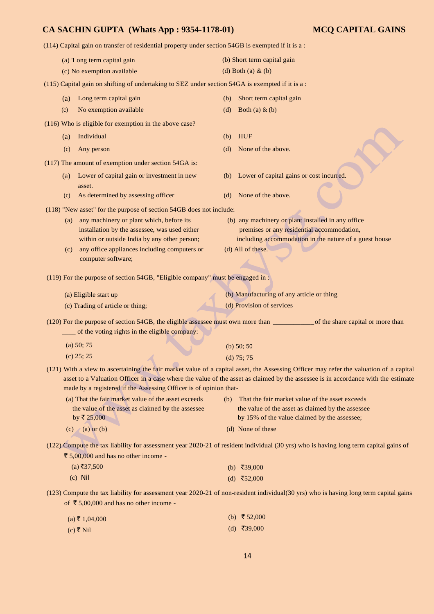(114) Capital gain on transfer of residential property under section 54GB is exempted if it is a : (a) 'Long term capital gain (c) No exemption available (b) Short term capital gain (d) Both (a) & (b) (115) Capital gain on shifting of undertaking to SEZ under section 54GA is exempted if it is a : (a) Long term capital gain (b) Short term capital gain (c) No exemption available (d) Both (a)  $\&$  (b) (116) Who is eligible for exemption in the above case? (a) Individual (b) HUF (c) Any person (d) None of the above. (117) The amount of exemption under section 54GA is: (a) Lower of capital gain or investment in new (b) Lower of capital gains or cost incurred. asset. (c) As determined by assessing officer (d) None of the above. (118) "New asset" for the purpose of section 54GB does not include: (a) any machinery or plant which, before its (b) any machinery or plant installed in any office installation by the assessee, was used either premises or any residential accommodation, within or outside India by any other person; including accommodation in the nature of a guest house (c) any office appliances including computers or (d) All of these. computer software; (119) For the purpose of section 54GB, "Eligible company" must be engaged in : (a) Eligible start up (c) Trading of article or thing; (b) Manufacturing of any article or thing (d) Provision of services (120) For the purpose of section 54GB, the eligible assessee must own more than \_\_\_\_\_\_\_\_\_\_\_\_of the share capital or more than \_\_\_\_ of the voting rights in the eligible company: (a) 50; 75 (c) 25; 25 (b) 50; 50 (d) 75; 75 (121) With a view to ascertaining the fair market value of a capital asset, the Assessing Officer may refer the valuation of a capital asset to a Valuation Officer in a case where the value of the asset as claimed by the assessee is in accordance with the estimate made by a registered if the Assessing Officer is of opinion that- (a) That the fair market value of the asset exceeds (b) That the fair market value of the asset exceeds the value of the asset as claimed by the assessee the value of the asset as claimed by the assessee by  $\overline{x}$  25,000 by 15% of the value claimed by the assessee; (c) (a) or (b) (d) None of these (122) Compute the tax liability for assessment year 2020-21 of resident individual (30 yrs) who is having long term capital gains of  $\bar{\xi}$  5,00,000 and has no other income - $(a)$ ₹37,500 (c) Nil (b)  $\overline{5}39,000$ (d) ₹52,000 (123) Compute the tax liability for assessment year 2020-21 of non-resident individual(30 yrs) who is having long term capital gains of  $\bar{\tau}$  5,00,000 and has no other income - $(1, 7, 1, 0, 1, 0, 0, 0)$ (b)  $\bar{x}$  52,000

| $(a) \leq 1,04,000$ | $\sqrt{v}$ $\sqrt{v}$ , $\sqrt{v}$ |
|---------------------|------------------------------------|
| (c) ₹ Nil           | (d) ₹39,000                        |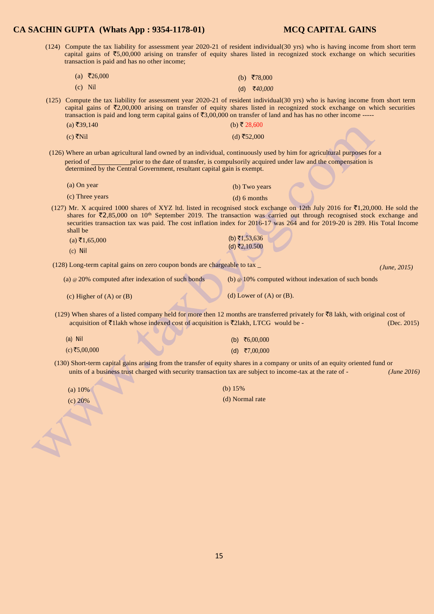*(June, 2015)* 

(124) Compute the tax liability for assessment year 2020-21 of resident individual(30 yrs) who is having income from short term capital gains of  $\overline{5,00,000}$  arising on transfer of equity shares listed in recognized stock exchange on which securities transaction is paid and has no other income;

|           | (a) ₹26,000 | (b) ₹78,000 |
|-----------|-------------|-------------|
| $(c)$ Nil |             | (d) ₹40,000 |

(125) Compute the tax liability for assessment year 2020-21 of resident individual(30 yrs) who is having income from short term capital gains of  $\bar{\zeta}$ 2,00,000 arising on transfer of equity shares listed in recognized stock exchange on which securities transaction is paid and long term capital gains of  $\bar{c}3,00,000$  on transfer of land and has has no other income -----(a) ₹39,140 (b) ₹ 28,600

| $(c)$ ₹Nil | (d) ₹52,000 |
|------------|-------------|

(126) Where an urban agricultural land owned by an individual, continuously used by him for agricultural purposes for a period of **prior** prior to the date of transfer, is compulsorily acquired under law and the compensation is determined by the Central Government, resultant capital gain is exempt.

| (a) On year     | (b) Two years  |
|-----------------|----------------|
| (c) Three years | $(d) 6$ months |

(127) Mr. X acquired 1000 shares of XYZ ltd. listed in recognised stock exchange on 12th July 2016 for  $\bar{\tau}1,20,000$ . He sold the shares for  $\bar{\zeta}$ 2,85,000 on 10<sup>th</sup> September 2019. The transaction was carried out through recognised stock exchange and securities transaction tax was paid. The cost inflation index for 2016-17 was 264 and for 2019-20 is 289. His Total Income shall be

| $(a)$ ₹1,65,000 | (b) ₹1,53,636 |
|-----------------|---------------|
| $(c)$ Nil       | (d) ₹2,10.500 |

(128) Long-term capital gains on zero coupon bonds are chargeable to tax \_

(a) @ 20% computed after indexation of such bonds (b) @ 10% computed without indexation of such bonds

(c) Higher of  $(A)$  or  $(B)$  (d) Lower of  $(A)$  or  $(B)$ .

(129) When shares of a listed company held for more then 12 months are transferred privately for  $\bar{z}8$  lakh, with original cost of acquisition of  $\overline{\xi}$ 1lakh whose indexed cost of acquisition is  $\overline{\xi}$ 2lakh, LTCG would be - (Dec. 2015)

(a) Nil  $(c)$ ₹5,00,000 (b) ₹6,00,000  $(d)$  ₹7,00,000

(130) Short-term capital gains arising from the transfer of equity shares in a company or units of an equity oriented fund or units of a business trust charged with security transaction tax are subject to income-tax at the rate of - *(June 2016)* 

(a) 10%

(c) 20%

(b) 15% (d) Normal rate